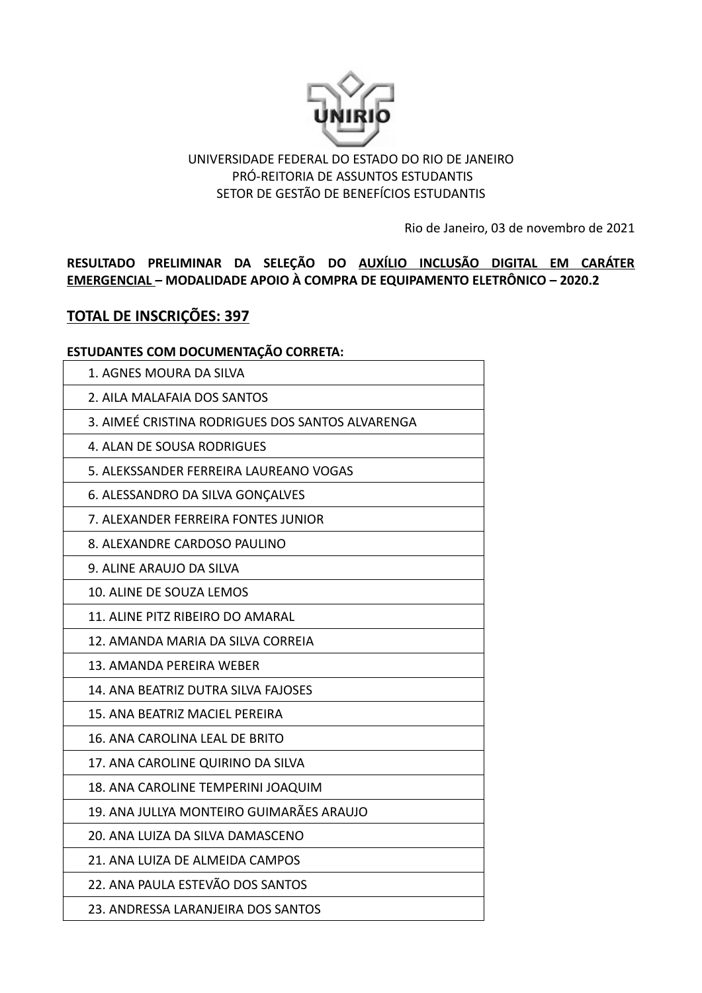

### UNIVERSIDADE FEDERAL DO ESTADO DO RIO DE JANEIRO PRÓ-REITORIA DE ASSUNTOS ESTUDANTIS SETOR DE GESTÃO DE BENEFÍCIOS ESTUDANTIS

Rio de Janeiro, 03 de novembro de 2021

**RESULTADO PRELIMINAR DA SELEÇÃO DO AUXÍLIO INCLUSÃO DIGITAL EM CARÁTER EMERGENCIAL – MODALIDADE APOIO À COMPRA DE EQUIPAMENTO ELETRÔNICO – 2020.2**

# **TOTAL DE INSCRIÇÕES: 397**

### **ESTUDANTES COM DOCUMENTAÇÃO CORRETA:**

| 1. AGNES MOURA DA SILVA                          |
|--------------------------------------------------|
| 2. AILA MALAFAIA DOS SANTOS                      |
| 3. AIMEÉ CRISTINA RODRIGUES DOS SANTOS ALVARENGA |
| 4. ALAN DE SOUSA RODRIGUES                       |
| 5. ALEKSSANDER FERREIRA LAUREANO VOGAS           |
| 6. ALESSANDRO DA SILVA GONÇALVES                 |
| 7. ALEXANDER FERREIRA FONTES JUNIOR              |
| 8. ALEXANDRE CARDOSO PAULINO                     |
| 9. ALINE ARAUJO DA SILVA                         |
| 10. ALINE DE SOUZA LEMOS                         |
| 11. ALINE PITZ RIBEIRO DO AMARAL                 |
| 12. AMANDA MARIA DA SILVA CORREIA                |
| 13. AMANDA PEREIRA WEBER                         |
| 14. ANA BEATRIZ DUTRA SILVA FAJOSES              |
| 15. ANA BEATRIZ MACIEL PEREIRA                   |
| 16. ANA CAROLINA LEAL DE BRITO                   |
| 17. ANA CAROLINE QUIRINO DA SILVA                |
| 18. ANA CAROLINE TEMPERINI JOAQUIM               |
| 19. ANA JULLYA MONTEIRO GUIMARÃES ARAUJO         |
| 20. ANA LUIZA DA SILVA DAMASCENO                 |
| 21. ANA LUIZA DE ALMEIDA CAMPOS                  |
| 22. ANA PAULA ESTEVÃO DOS SANTOS                 |
| 23. ANDRESSA LARANJEIRA DOS SANTOS               |
|                                                  |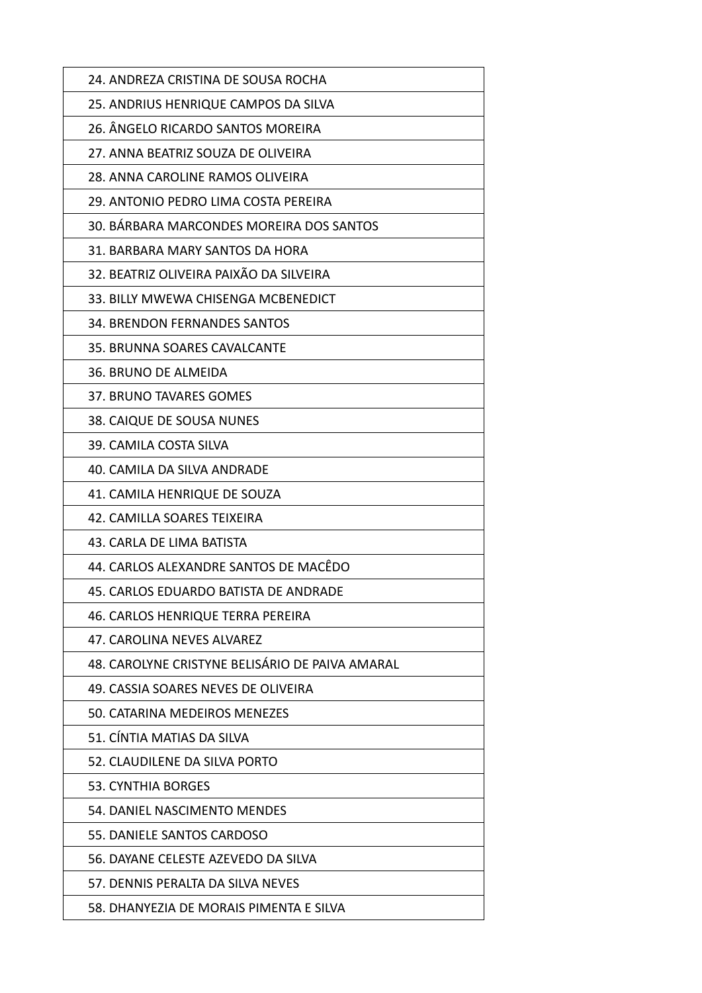| 24. ANDREZA CRISTINA DE SOUSA ROCHA             |
|-------------------------------------------------|
| 25. ANDRIUS HENRIQUE CAMPOS DA SILVA            |
| 26. ÂNGELO RICARDO SANTOS MOREIRA               |
| 27. ANNA BEATRIZ SOUZA DE OLIVEIRA              |
| 28. ANNA CAROLINE RAMOS OLIVEIRA                |
| 29. ANTONIO PEDRO LIMA COSTA PEREIRA            |
| 30. BÁRBARA MARCONDES MOREIRA DOS SANTOS        |
| 31. BARBARA MARY SANTOS DA HORA                 |
| 32. BEATRIZ OLIVEIRA PAIXÃO DA SILVEIRA         |
| 33. BILLY MWEWA CHISENGA MCBENEDICT             |
| 34. BRENDON FERNANDES SANTOS                    |
| 35. BRUNNA SOARES CAVALCANTE                    |
| 36. BRUNO DE ALMEIDA                            |
| 37. BRUNO TAVARES GOMES                         |
| 38. CAIQUE DE SOUSA NUNES                       |
| 39. CAMILA COSTA SILVA                          |
| 40. CAMILA DA SILVA ANDRADE                     |
| 41. CAMILA HENRIQUE DE SOUZA                    |
| 42. CAMILLA SOARES TEIXEIRA                     |
| 43. CARLA DE LIMA BATISTA                       |
| 44. CARLOS ALEXANDRE SANTOS DE MACÊDO           |
| 45. CARLOS EDUARDO BATISTA DE ANDRADE           |
| 46. CARLOS HENRIQUE TERRA PEREIRA               |
| 47. CAROLINA NEVES ALVAREZ                      |
| 48. CAROLYNE CRISTYNE BELISÁRIO DE PAIVA AMARAL |
| 49. CASSIA SOARES NEVES DE OLIVEIRA             |
| 50. CATARINA MEDEIROS MENEZES                   |
| 51. CÍNTIA MATIAS DA SILVA                      |
| 52. CLAUDILENE DA SILVA PORTO                   |
| <b>53. CYNTHIA BORGES</b>                       |
| 54. DANIEL NASCIMENTO MENDES                    |
| 55. DANIELE SANTOS CARDOSO                      |
| 56. DAYANE CELESTE AZEVEDO DA SILVA             |
| 57. DENNIS PERALTA DA SILVA NEVES               |
| 58. DHANYEZIA DE MORAIS PIMENTA E SILVA         |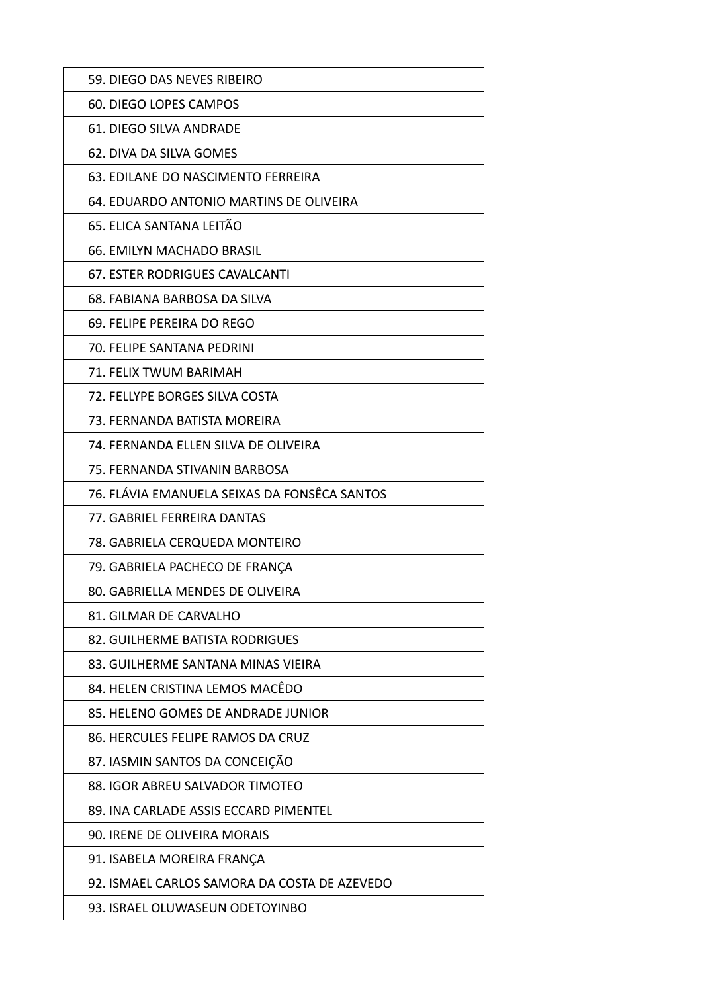| 59. DIEGO DAS NEVES RIBEIRO                  |
|----------------------------------------------|
| 60. DIEGO LOPES CAMPOS                       |
| 61. DIEGO SILVA ANDRADE                      |
| 62. DIVA DA SILVA GOMES                      |
| 63. EDILANE DO NASCIMENTO FERREIRA           |
| 64. EDUARDO ANTONIO MARTINS DE OLIVEIRA      |
| 65. ELICA SANTANA LEITÃO                     |
| 66. EMILYN MACHADO BRASIL                    |
| 67. ESTER RODRIGUES CAVALCANTI               |
| 68. FABIANA BARBOSA DA SILVA                 |
| 69. FELIPE PEREIRA DO REGO                   |
| 70. FELIPE SANTANA PEDRINI                   |
| 71. FELIX TWUM BARIMAH                       |
| 72. FELLYPE BORGES SILVA COSTA               |
| 73. FERNANDA BATISTA MOREIRA                 |
| 74. FERNANDA ELLEN SILVA DE OLIVEIRA         |
| 75. FERNANDA STIVANIN BARBOSA                |
| 76. FLÁVIA EMANUELA SEIXAS DA FONSÊCA SANTOS |
| 77. GABRIEL FERREIRA DANTAS                  |
| 78. GABRIELA CERQUEDA MONTEIRO               |
| 79. GABRIELA PACHECO DE FRANÇA               |
| 80. GABRIELLA MENDES DE OLIVEIRA             |
| 81. GILMAR DE CARVALHO                       |
| 82. GUILHERME BATISTA RODRIGUES              |
| 83. GUILHERME SANTANA MINAS VIEIRA           |
| 84. HELEN CRISTINA LEMOS MACÊDO              |
| 85. HELENO GOMES DE ANDRADE JUNIOR           |
| 86. HERCULES FELIPE RAMOS DA CRUZ            |
| 87. IASMIN SANTOS DA CONCEIÇÃO               |
| 88. IGOR ABREU SALVADOR TIMOTEO              |
| 89. INA CARLADE ASSIS ECCARD PIMENTEL        |
| 90. IRENE DE OLIVEIRA MORAIS                 |
| 91. ISABELA MOREIRA FRANÇA                   |
| 92. ISMAEL CARLOS SAMORA DA COSTA DE AZEVEDO |
| 93. ISRAEL OLUWASEUN ODETOYINBO              |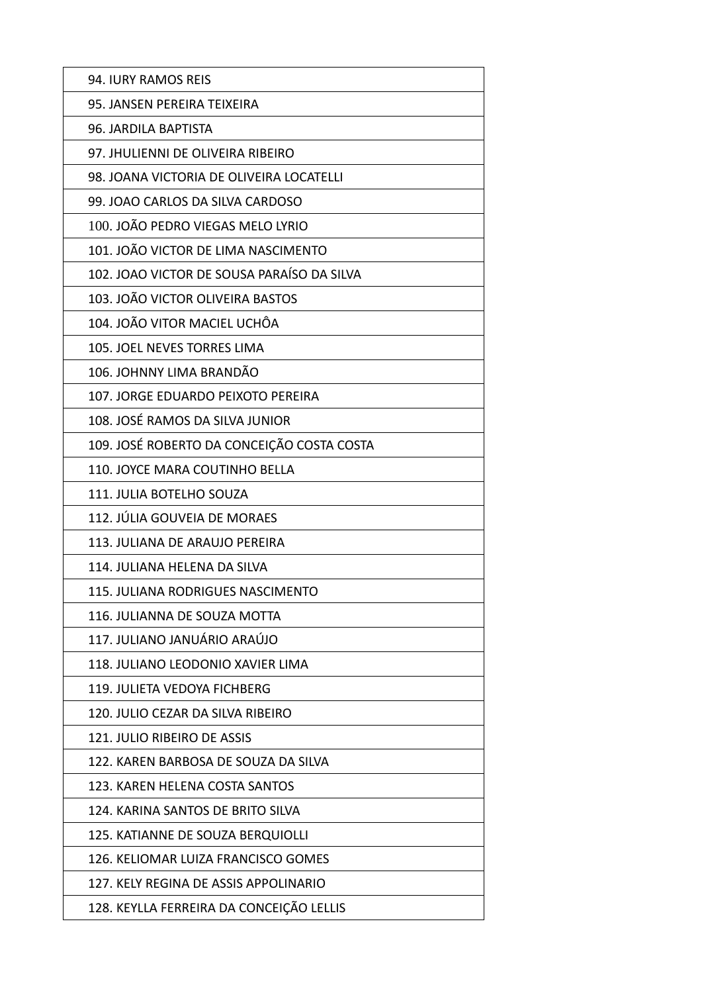| 94. IURY RAMOS REIS                        |
|--------------------------------------------|
| 95. JANSEN PEREIRA TEIXEIRA                |
| 96. JARDILA BAPTISTA                       |
| 97. JHULIENNI DE OLIVEIRA RIBEIRO          |
| 98. JOANA VICTORIA DE OLIVEIRA LOCATELLI   |
| 99. JOAO CARLOS DA SILVA CARDOSO           |
| 100. JOÃO PEDRO VIEGAS MELO LYRIO          |
| 101. JOÃO VICTOR DE LIMA NASCIMENTO        |
| 102. JOAO VICTOR DE SOUSA PARAÍSO DA SILVA |
| 103. JOÃO VICTOR OLIVEIRA BASTOS           |
| 104. JOÃO VITOR MACIEL UCHÔA               |
| 105. JOEL NEVES TORRES LIMA                |
| 106. JOHNNY LIMA BRANDÃO                   |
| 107. JORGE EDUARDO PEIXOTO PEREIRA         |
| 108. JOSÉ RAMOS DA SILVA JUNIOR            |
| 109. JOSÉ ROBERTO DA CONCEIÇÃO COSTA COSTA |
| 110. JOYCE MARA COUTINHO BELLA             |
| 111. JULIA BOTELHO SOUZA                   |
| 112. JÚLIA GOUVEIA DE MORAES               |
| 113. JULIANA DE ARAUJO PEREIRA             |
| 114. JULIANA HELENA DA SILVA               |
| 115. JULIANA RODRIGUES NASCIMENTO          |
| 116. JULIANNA DE SOUZA MOTTA               |
| 117. JULIANO JANUÁRIO ARAÚJO               |
| 118. JULIANO LEODONIO XAVIER LIMA          |
| 119. JULIETA VEDOYA FICHBERG               |
| 120. JULIO CEZAR DA SILVA RIBEIRO          |
| 121. JULIO RIBEIRO DE ASSIS                |
| 122. KAREN BARBOSA DE SOUZA DA SILVA       |
| 123. KAREN HELENA COSTA SANTOS             |
| 124. KARINA SANTOS DE BRITO SILVA          |
| 125. KATIANNE DE SOUZA BERQUIOLLI          |
| 126. KELIOMAR LUIZA FRANCISCO GOMES        |
| 127. KELY REGINA DE ASSIS APPOLINARIO      |
| 128. KEYLLA FERREIRA DA CONCEIÇÃO LELLIS   |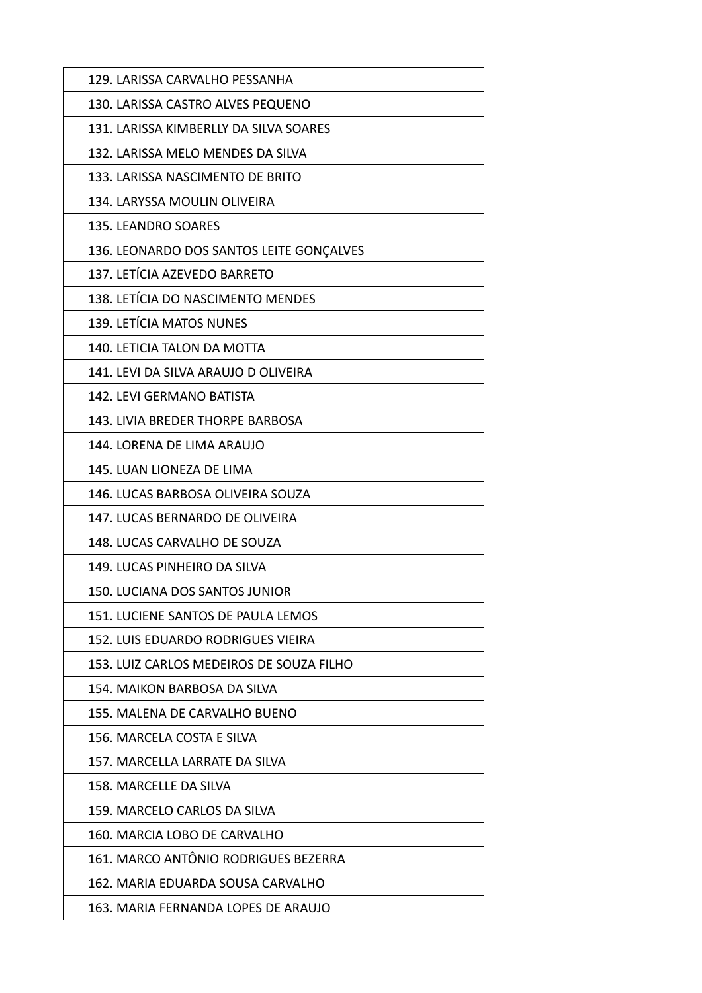| 129. LARISSA CARVALHO PESSANHA           |
|------------------------------------------|
| 130. LARISSA CASTRO ALVES PEQUENO        |
| 131. LARISSA KIMBERLLY DA SILVA SOARES   |
| 132. LARISSA MELO MENDES DA SILVA        |
| 133. LARISSA NASCIMENTO DE BRITO         |
| 134. LARYSSA MOULIN OLIVEIRA             |
| 135. LEANDRO SOARES                      |
| 136. LEONARDO DOS SANTOS LEITE GONÇALVES |
| 137. LETÍCIA AZEVEDO BARRETO             |
| 138. LETÍCIA DO NASCIMENTO MENDES        |
| 139. LETÍCIA MATOS NUNES                 |
| 140. LETICIA TALON DA MOTTA              |
| 141. LEVI DA SILVA ARAUJO D OLIVEIRA     |
| 142. LEVI GERMANO BATISTA                |
| 143. LIVIA BREDER THORPE BARBOSA         |
| 144. LORENA DE LIMA ARAUJO               |
| 145. LUAN LIONEZA DE LIMA                |
| 146. LUCAS BARBOSA OLIVEIRA SOUZA        |
| 147. LUCAS BERNARDO DE OLIVEIRA          |
| 148. LUCAS CARVALHO DE SOUZA             |
| 149. LUCAS PINHEIRO DA SILVA             |
| 150. LUCIANA DOS SANTOS JUNIOR           |
| 151. LUCIENE SANTOS DE PAULA LEMOS       |
| 152. LUIS EDUARDO RODRIGUES VIEIRA       |
| 153. LUIZ CARLOS MEDEIROS DE SOUZA FILHO |
| 154. MAIKON BARBOSA DA SILVA             |
| 155. MALENA DE CARVALHO BUENO            |
| 156. MARCELA COSTA E SILVA               |
| 157. MARCELLA LARRATE DA SILVA           |
| 158. MARCELLE DA SILVA                   |
| 159. MARCELO CARLOS DA SILVA             |
| 160. MARCIA LOBO DE CARVALHO             |
| 161. MARCO ANTÔNIO RODRIGUES BEZERRA     |
| 162. MARIA EDUARDA SOUSA CARVALHO        |
| 163. MARIA FERNANDA LOPES DE ARAUJO      |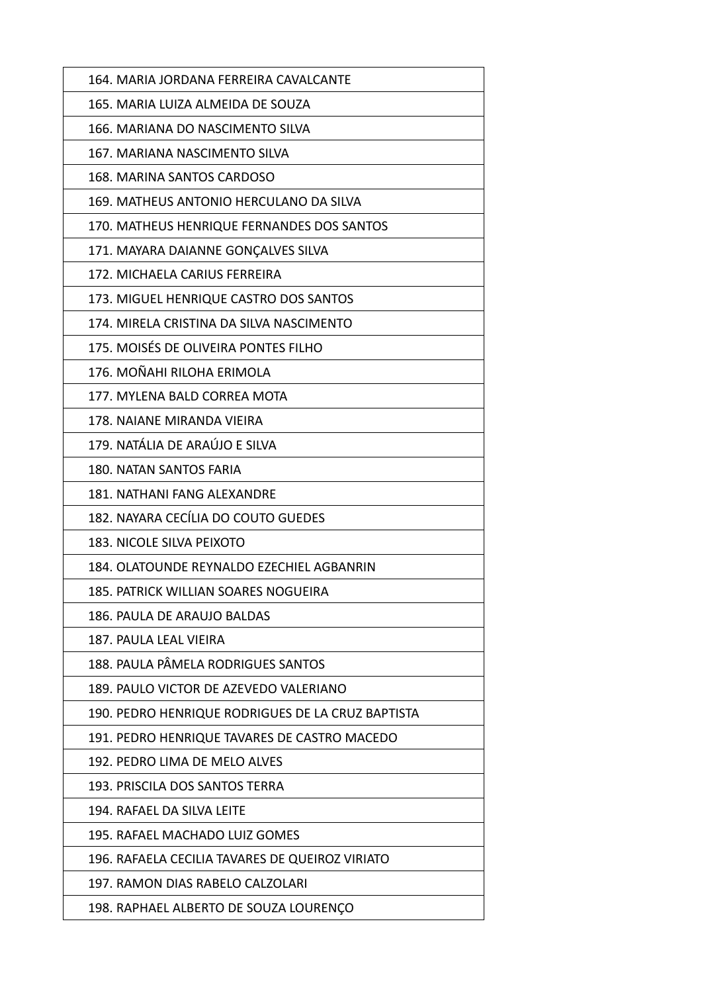| 164. MARIA JORDANA FERREIRA CAVALCANTE            |
|---------------------------------------------------|
| 165. MARIA LUIZA ALMEIDA DE SOUZA                 |
| 166. MARIANA DO NASCIMENTO SILVA                  |
| 167. MARIANA NASCIMENTO SILVA                     |
| 168. MARINA SANTOS CARDOSO                        |
| 169. MATHEUS ANTONIO HERCULANO DA SILVA           |
| 170. MATHEUS HENRIQUE FERNANDES DOS SANTOS        |
| 171. MAYARA DAIANNE GONÇALVES SILVA               |
| 172. MICHAELA CARIUS FERREIRA                     |
| 173. MIGUEL HENRIQUE CASTRO DOS SANTOS            |
| 174. MIRELA CRISTINA DA SILVA NASCIMENTO          |
| 175. MOISÉS DE OLIVEIRA PONTES FILHO              |
| 176. MOÑAHI RILOHA ERIMOLA                        |
| 177. MYLENA BALD CORREA MOTA                      |
| 178. NAIANE MIRANDA VIEIRA                        |
| 179. NATÁLIA DE ARAÚJO E SILVA                    |
| 180. NATAN SANTOS FARIA                           |
| <b>181. NATHANI FANG ALEXANDRE</b>                |
| 182. NAYARA CECÍLIA DO COUTO GUEDES               |
| 183. NICOLE SILVA PEIXOTO                         |
| 184. OLATOUNDE REYNALDO EZECHIEL AGBANRIN         |
| 185. PATRICK WILLIAN SOARES NOGUEIRA              |
| 186. PAULA DE ARAUJO BALDAS                       |
| 187. PAULA LEAL VIEIRA                            |
| 188. PAULA PÂMELA RODRIGUES SANTOS                |
| 189. PAULO VICTOR DE AZEVEDO VALERIANO            |
| 190. PEDRO HENRIQUE RODRIGUES DE LA CRUZ BAPTISTA |
| 191. PEDRO HENRIQUE TAVARES DE CASTRO MACEDO      |
| 192. PEDRO LIMA DE MELO ALVES                     |
| 193. PRISCILA DOS SANTOS TERRA                    |
| 194. RAFAEL DA SILVA LEITE                        |
| 195. RAFAEL MACHADO LUIZ GOMES                    |
| 196. RAFAELA CECILIA TAVARES DE QUEIROZ VIRIATO   |
| 197. RAMON DIAS RABELO CALZOLARI                  |
| 198. RAPHAEL ALBERTO DE SOUZA LOURENÇO            |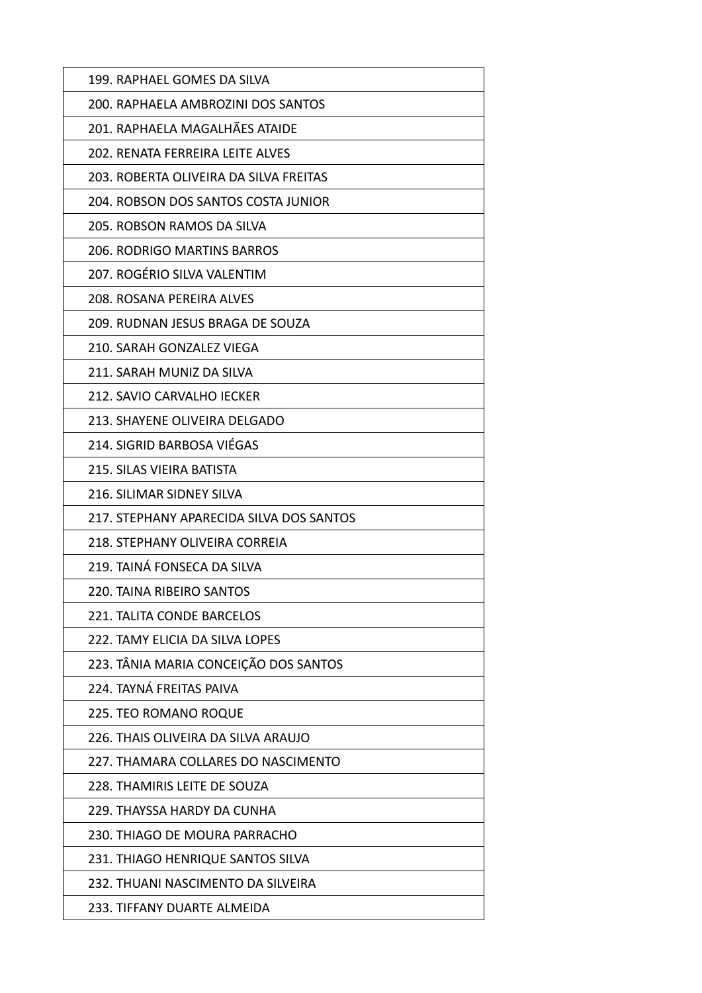| 199. RAPHAEL GOMES DA SILVA              |
|------------------------------------------|
| 200. RAPHAELA AMBROZINI DOS SANTOS       |
| 201. RAPHAELA MAGALHÃES ATAIDE           |
| 202. RENATA FERREIRA LEITE ALVES         |
| 203. ROBERTA OLIVEIRA DA SILVA FREITAS   |
| 204. ROBSON DOS SANTOS COSTA JUNIOR      |
| 205. ROBSON RAMOS DA SILVA               |
| <b>206. RODRIGO MARTINS BARROS</b>       |
| 207. ROGÉRIO SILVA VALENTIM              |
| 208. ROSANA PEREIRA ALVES                |
| 209. RUDNAN JESUS BRAGA DE SOUZA         |
| 210. SARAH GONZALEZ VIEGA                |
| 211. SARAH MUNIZ DA SILVA                |
| 212. SAVIO CARVALHO IECKER               |
| 213. SHAYENE OLIVEIRA DELGADO            |
| 214. SIGRID BARBOSA VIÉGAS               |
| 215. SILAS VIEIRA BATISTA                |
| 216. SILIMAR SIDNEY SILVA                |
| 217. STEPHANY APARECIDA SILVA DOS SANTOS |
| 218. STEPHANY OLIVEIRA CORREIA           |
| 219. TAINÁ FONSECA DA SILVA              |
| 220. TAINA RIBEIRO SANTOS                |
| 221. TALITA CONDE BARCELOS               |
| 222. TAMY ELICIA DA SILVA LOPES          |
| 223. TÂNIA MARIA CONCEIÇÃO DOS SANTOS    |
| 224. TAYNÁ FREITAS PAIVA                 |
| 225. TEO ROMANO ROQUE                    |
| 226. THAIS OLIVEIRA DA SILVA ARAUJO      |
| 227. THAMARA COLLARES DO NASCIMENTO      |
| 228. THAMIRIS LEITE DE SOUZA             |
| 229. THAYSSA HARDY DA CUNHA              |
| 230. THIAGO DE MOURA PARRACHO            |
| 231. THIAGO HENRIQUE SANTOS SILVA        |
| 232. THUANI NASCIMENTO DA SILVEIRA       |
| 233. TIFFANY DUARTE ALMEIDA              |
|                                          |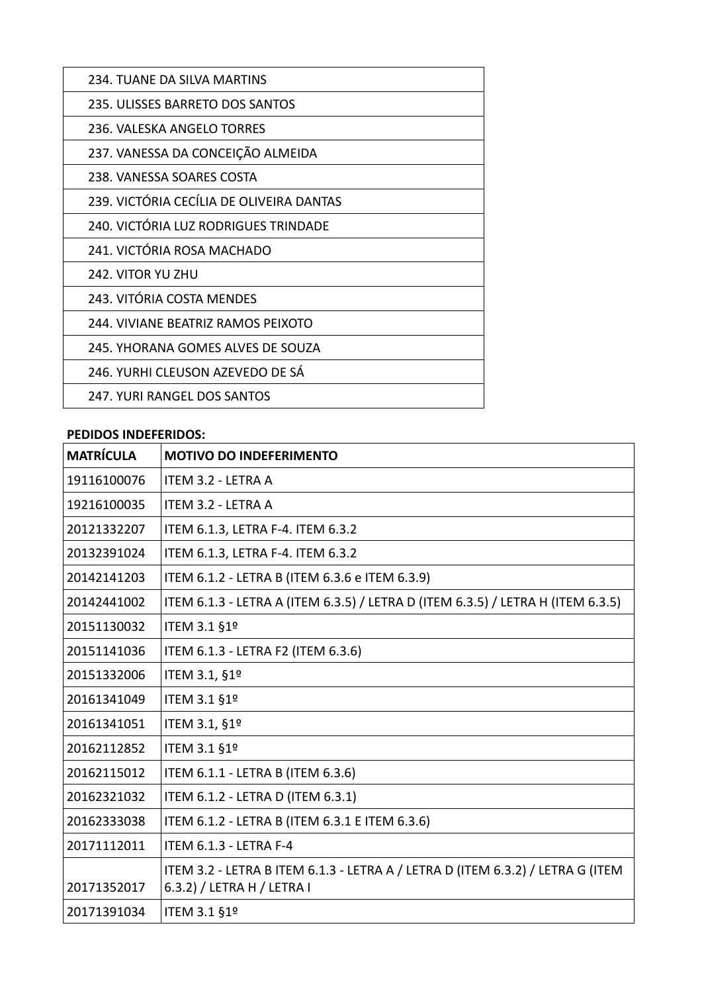| 234. TUANE DA SILVA MARTINS              |
|------------------------------------------|
| 235. ULISSES BARRETO DOS SANTOS          |
| 236. VALESKA ANGELO TORRES               |
| 237. VANESSA DA CONCEIÇÃO ALMEIDA        |
| 238. VANESSA SOARES COSTA                |
| 239. VICTÓRIA CECÍLIA DE OLIVEIRA DANTAS |
| 240. VICTÓRIA LUZ RODRIGUES TRINDADE     |
| 241. VICTÓRIA ROSA MACHADO               |
| 242. VITOR YU ZHU                        |
| 243. VITÓRIA COSTA MENDES                |
| 244. VIVIANE BEATRIZ RAMOS PEIXOTO       |
| 245. YHORANA GOMES ALVES DE SOUZA        |
| 246. YURHI CLEUSON AZEVEDO DE SÁ         |
| 247. YURI RANGEL DOS SANTOS              |

#### **PEDIDOS INDEFERIDOS:**

| <b>MATRÍCULA</b> | <b>MOTIVO DO INDEFERIMENTO</b>                                                                               |
|------------------|--------------------------------------------------------------------------------------------------------------|
| 19116100076      | ITEM 3.2 - LETRA A                                                                                           |
| 19216100035      | ITEM 3.2 - LETRA A                                                                                           |
| 20121332207      | ITEM 6.1.3, LETRA F-4. ITEM 6.3.2                                                                            |
| 20132391024      | ITEM 6.1.3, LETRA F-4. ITEM 6.3.2                                                                            |
| 20142141203      | ITEM 6.1.2 - LETRA B (ITEM 6.3.6 e ITEM 6.3.9)                                                               |
| 20142441002      | ITEM 6.1.3 - LETRA A (ITEM 6.3.5) / LETRA D (ITEM 6.3.5) / LETRA H (ITEM 6.3.5)                              |
| 20151130032      | ITEM 3.1 §1º                                                                                                 |
| 20151141036      | ITEM 6.1.3 - LETRA F2 (ITEM 6.3.6)                                                                           |
| 20151332006      | ITEM 3.1, §1º                                                                                                |
| 20161341049      | ITEM 3.1 §1º                                                                                                 |
| 20161341051      | ITEM 3.1, §1º                                                                                                |
| 20162112852      | ITEM 3.1 §1º                                                                                                 |
| 20162115012      | ITEM 6.1.1 - LETRA B (ITEM 6.3.6)                                                                            |
| 20162321032      | ITEM 6.1.2 - LETRA D (ITEM 6.3.1)                                                                            |
| 20162333038      | ITEM 6.1.2 - LETRA B (ITEM 6.3.1 E ITEM 6.3.6)                                                               |
| 20171112011      | ITEM 6.1.3 - LETRA F-4                                                                                       |
| 20171352017      | ITEM 3.2 - LETRA B ITEM 6.1.3 - LETRA A / LETRA D (ITEM 6.3.2) / LETRA G (ITEM<br>6.3.2) / LETRA H / LETRA I |
| 20171391034      | ITEM 3.1 §1º                                                                                                 |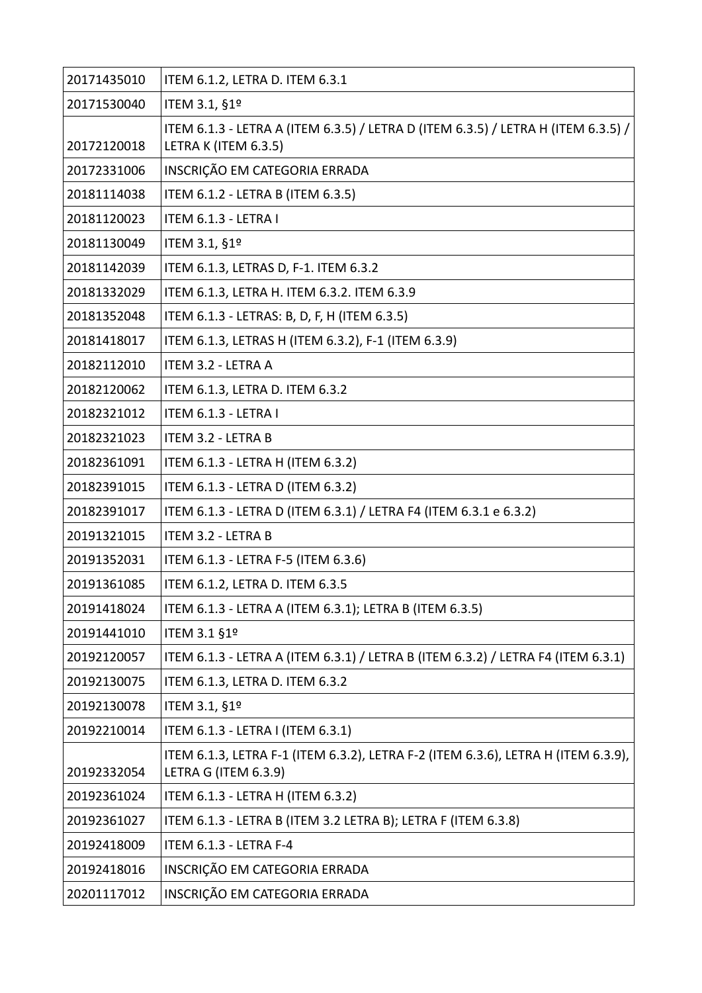| 20171435010 | ITEM 6.1.2, LETRA D. ITEM 6.3.1                                                                           |
|-------------|-----------------------------------------------------------------------------------------------------------|
| 20171530040 | ITEM 3.1, §1º                                                                                             |
|             | ITEM 6.1.3 - LETRA A (ITEM 6.3.5) / LETRA D (ITEM 6.3.5) / LETRA H (ITEM 6.3.5) /                         |
| 20172120018 | LETRA K (ITEM 6.3.5)                                                                                      |
| 20172331006 | INSCRIÇÃO EM CATEGORIA ERRADA                                                                             |
| 20181114038 | ITEM 6.1.2 - LETRA B (ITEM 6.3.5)                                                                         |
| 20181120023 | ITEM 6.1.3 - LETRA I                                                                                      |
| 20181130049 | ITEM 3.1, §1º                                                                                             |
| 20181142039 | ITEM 6.1.3, LETRAS D, F-1. ITEM 6.3.2                                                                     |
| 20181332029 | ITEM 6.1.3, LETRA H. ITEM 6.3.2. ITEM 6.3.9                                                               |
| 20181352048 | ITEM 6.1.3 - LETRAS: B, D, F, H (ITEM 6.3.5)                                                              |
| 20181418017 | ITEM 6.1.3, LETRAS H (ITEM 6.3.2), F-1 (ITEM 6.3.9)                                                       |
| 20182112010 | ITEM 3.2 - LETRA A                                                                                        |
| 20182120062 | ITEM 6.1.3, LETRA D. ITEM 6.3.2                                                                           |
| 20182321012 | ITEM 6.1.3 - LETRA I                                                                                      |
| 20182321023 | <b>ITEM 3.2 - LETRA B</b>                                                                                 |
| 20182361091 | ITEM 6.1.3 - LETRA H (ITEM 6.3.2)                                                                         |
| 20182391015 | ITEM 6.1.3 - LETRA D (ITEM 6.3.2)                                                                         |
| 20182391017 | ITEM 6.1.3 - LETRA D (ITEM 6.3.1) / LETRA F4 (ITEM 6.3.1 e 6.3.2)                                         |
| 20191321015 | ITEM 3.2 - LETRA B                                                                                        |
| 20191352031 | ITEM 6.1.3 - LETRA F-5 (ITEM 6.3.6)                                                                       |
| 20191361085 | ITEM 6.1.2, LETRA D. ITEM 6.3.5                                                                           |
| 20191418024 | ITEM 6.1.3 - LETRA A (ITEM 6.3.1); LETRA B (ITEM 6.3.5)                                                   |
| 20191441010 | ITEM 3.1 §1º                                                                                              |
| 20192120057 | ITEM 6.1.3 - LETRA A (ITEM 6.3.1) / LETRA B (ITEM 6.3.2) / LETRA F4 (ITEM 6.3.1)                          |
| 20192130075 | ITEM 6.1.3, LETRA D. ITEM 6.3.2                                                                           |
| 20192130078 | ITEM 3.1, §1º                                                                                             |
| 20192210014 | ITEM 6.1.3 - LETRA I (ITEM 6.3.1)                                                                         |
| 20192332054 | ITEM 6.1.3, LETRA F-1 (ITEM 6.3.2), LETRA F-2 (ITEM 6.3.6), LETRA H (ITEM 6.3.9),<br>LETRA G (ITEM 6.3.9) |
| 20192361024 | ITEM 6.1.3 - LETRA H (ITEM 6.3.2)                                                                         |
| 20192361027 | ITEM 6.1.3 - LETRA B (ITEM 3.2 LETRA B); LETRA F (ITEM 6.3.8)                                             |
| 20192418009 | ITEM 6.1.3 - LETRA F-4                                                                                    |
| 20192418016 | INSCRIÇÃO EM CATEGORIA ERRADA                                                                             |
| 20201117012 | INSCRIÇÃO EM CATEGORIA ERRADA                                                                             |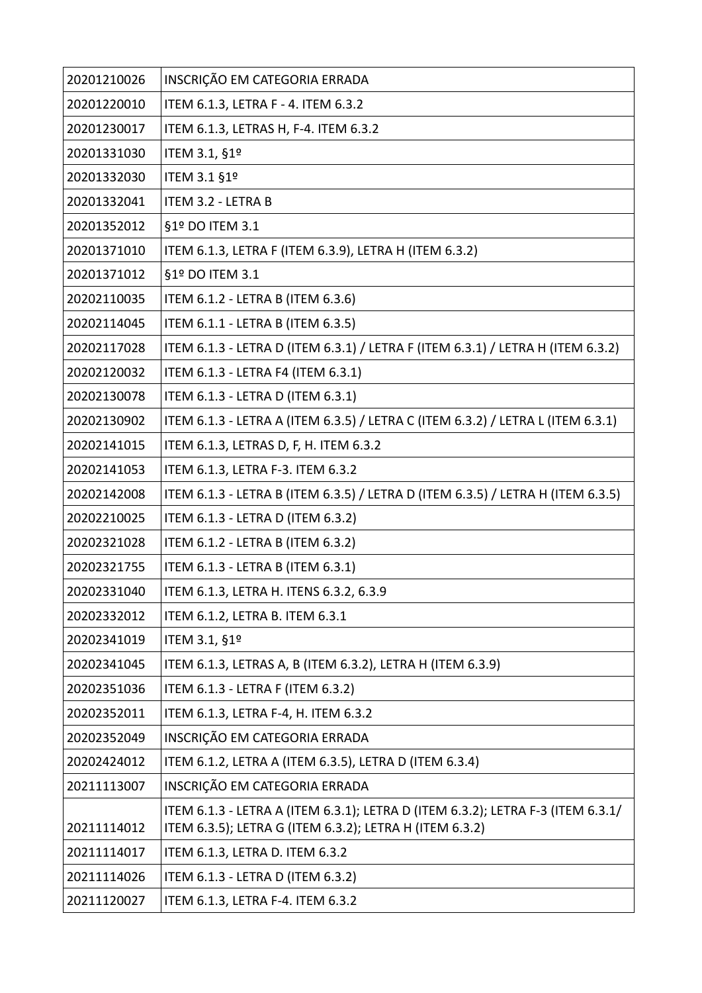| 20201210026 | INSCRIÇÃO EM CATEGORIA ERRADA                                                                                                              |
|-------------|--------------------------------------------------------------------------------------------------------------------------------------------|
| 20201220010 | ITEM 6.1.3, LETRA F - 4. ITEM 6.3.2                                                                                                        |
| 20201230017 | ITEM 6.1.3, LETRAS H, F-4. ITEM 6.3.2                                                                                                      |
| 20201331030 | ITEM 3.1, §1º                                                                                                                              |
| 20201332030 | ITEM 3.1 §1º                                                                                                                               |
| 20201332041 | ITEM 3.2 - LETRA B                                                                                                                         |
| 20201352012 | §1º DO ITEM 3.1                                                                                                                            |
| 20201371010 | ITEM 6.1.3, LETRA F (ITEM 6.3.9), LETRA H (ITEM 6.3.2)                                                                                     |
| 20201371012 | §1º DO ITEM 3.1                                                                                                                            |
| 20202110035 | ITEM 6.1.2 - LETRA B (ITEM 6.3.6)                                                                                                          |
| 20202114045 | ITEM 6.1.1 - LETRA B (ITEM 6.3.5)                                                                                                          |
| 20202117028 | ITEM 6.1.3 - LETRA D (ITEM 6.3.1) / LETRA F (ITEM 6.3.1) / LETRA H (ITEM 6.3.2)                                                            |
| 20202120032 | ITEM 6.1.3 - LETRA F4 (ITEM 6.3.1)                                                                                                         |
| 20202130078 | ITEM 6.1.3 - LETRA D (ITEM 6.3.1)                                                                                                          |
| 20202130902 | ITEM 6.1.3 - LETRA A (ITEM 6.3.5) / LETRA C (ITEM 6.3.2) / LETRA L (ITEM 6.3.1)                                                            |
| 20202141015 | ITEM 6.1.3, LETRAS D, F, H. ITEM 6.3.2                                                                                                     |
| 20202141053 | ITEM 6.1.3, LETRA F-3. ITEM 6.3.2                                                                                                          |
| 20202142008 | ITEM 6.1.3 - LETRA B (ITEM 6.3.5) / LETRA D (ITEM 6.3.5) / LETRA H (ITEM 6.3.5)                                                            |
| 20202210025 | ITEM 6.1.3 - LETRA D (ITEM 6.3.2)                                                                                                          |
| 20202321028 | ITEM 6.1.2 - LETRA B (ITEM 6.3.2)                                                                                                          |
| 20202321755 | ITEM 6.1.3 - LETRA B (ITEM 6.3.1)                                                                                                          |
| 20202331040 | ITEM 6.1.3, LETRA H. ITENS 6.3.2, 6.3.9                                                                                                    |
| 20202332012 | ITEM 6.1.2, LETRA B. ITEM 6.3.1                                                                                                            |
| 20202341019 | ITEM 3.1, §1º                                                                                                                              |
| 20202341045 | ITEM 6.1.3, LETRAS A, B (ITEM 6.3.2), LETRA H (ITEM 6.3.9)                                                                                 |
| 20202351036 | ITEM 6.1.3 - LETRA F (ITEM 6.3.2)                                                                                                          |
| 20202352011 | ITEM 6.1.3, LETRA F-4, H. ITEM 6.3.2                                                                                                       |
| 20202352049 | INSCRIÇÃO EM CATEGORIA ERRADA                                                                                                              |
| 20202424012 | ITEM 6.1.2, LETRA A (ITEM 6.3.5), LETRA D (ITEM 6.3.4)                                                                                     |
| 20211113007 | INSCRIÇÃO EM CATEGORIA ERRADA                                                                                                              |
| 20211114012 | ITEM 6.1.3 - LETRA A (ITEM 6.3.1); LETRA D (ITEM 6.3.2); LETRA F-3 (ITEM 6.3.1/<br>ITEM 6.3.5); LETRA G (ITEM 6.3.2); LETRA H (ITEM 6.3.2) |
| 20211114017 | ITEM 6.1.3, LETRA D. ITEM 6.3.2                                                                                                            |
| 20211114026 | ITEM 6.1.3 - LETRA D (ITEM 6.3.2)                                                                                                          |
| 20211120027 | ITEM 6.1.3, LETRA F-4. ITEM 6.3.2                                                                                                          |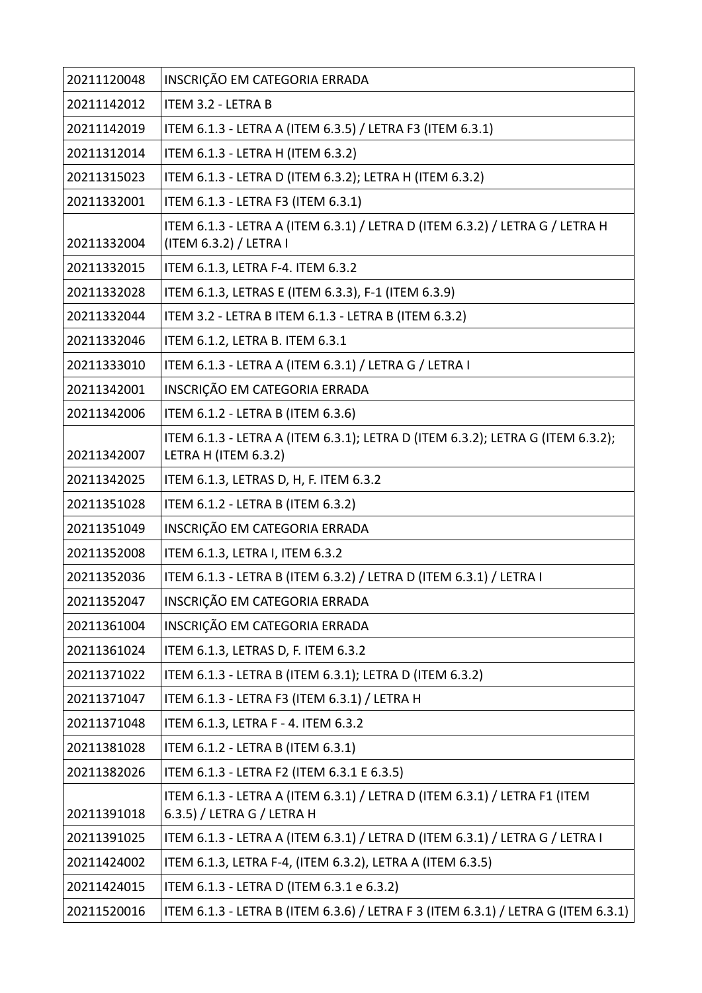| 20211120048 | INSCRIÇÃO EM CATEGORIA ERRADA                                                                           |
|-------------|---------------------------------------------------------------------------------------------------------|
| 20211142012 | ITEM 3.2 - LETRA B                                                                                      |
| 20211142019 | ITEM 6.1.3 - LETRA A (ITEM 6.3.5) / LETRA F3 (ITEM 6.3.1)                                               |
| 20211312014 | ITEM 6.1.3 - LETRA H (ITEM 6.3.2)                                                                       |
| 20211315023 | ITEM 6.1.3 - LETRA D (ITEM 6.3.2); LETRA H (ITEM 6.3.2)                                                 |
| 20211332001 | ITEM 6.1.3 - LETRA F3 (ITEM 6.3.1)                                                                      |
| 20211332004 | ITEM 6.1.3 - LETRA A (ITEM 6.3.1) / LETRA D (ITEM 6.3.2) / LETRA G / LETRA H<br>(ITEM 6.3.2) / LETRA I  |
| 20211332015 | ITEM 6.1.3, LETRA F-4. ITEM 6.3.2                                                                       |
| 20211332028 | ITEM 6.1.3, LETRAS E (ITEM 6.3.3), F-1 (ITEM 6.3.9)                                                     |
| 20211332044 | ITEM 3.2 - LETRA B ITEM 6.1.3 - LETRA B (ITEM 6.3.2)                                                    |
| 20211332046 | ITEM 6.1.2, LETRA B. ITEM 6.3.1                                                                         |
| 20211333010 | ITEM 6.1.3 - LETRA A (ITEM 6.3.1) / LETRA G / LETRA I                                                   |
| 20211342001 | INSCRIÇÃO EM CATEGORIA ERRADA                                                                           |
| 20211342006 | ITEM 6.1.2 - LETRA B (ITEM 6.3.6)                                                                       |
| 20211342007 | ITEM 6.1.3 - LETRA A (ITEM 6.3.1); LETRA D (ITEM 6.3.2); LETRA G (ITEM 6.3.2);<br>LETRA H (ITEM 6.3.2)  |
| 20211342025 | ITEM 6.1.3, LETRAS D, H, F. ITEM 6.3.2                                                                  |
| 20211351028 | ITEM 6.1.2 - LETRA B (ITEM 6.3.2)                                                                       |
| 20211351049 | INSCRIÇÃO EM CATEGORIA ERRADA                                                                           |
| 20211352008 | ITEM 6.1.3, LETRA I, ITEM 6.3.2                                                                         |
| 20211352036 | ITEM 6.1.3 - LETRA B (ITEM 6.3.2) / LETRA D (ITEM 6.3.1) / LETRA I                                      |
| 20211352047 | INSCRIÇÃO EM CATEGORIA ERRADA                                                                           |
| 20211361004 | INSCRIÇÃO EM CATEGORIA ERRADA                                                                           |
| 20211361024 | ITEM 6.1.3, LETRAS D, F. ITEM 6.3.2                                                                     |
| 20211371022 | ITEM 6.1.3 - LETRA B (ITEM 6.3.1); LETRA D (ITEM 6.3.2)                                                 |
| 20211371047 | ITEM 6.1.3 - LETRA F3 (ITEM 6.3.1) / LETRA H                                                            |
| 20211371048 | ITEM 6.1.3, LETRA F - 4. ITEM 6.3.2                                                                     |
| 20211381028 | ITEM 6.1.2 - LETRA B (ITEM 6.3.1)                                                                       |
| 20211382026 | ITEM 6.1.3 - LETRA F2 (ITEM 6.3.1 E 6.3.5)                                                              |
| 20211391018 | ITEM 6.1.3 - LETRA A (ITEM 6.3.1) / LETRA D (ITEM 6.3.1) / LETRA F1 (ITEM<br>6.3.5) / LETRA G / LETRA H |
| 20211391025 | ITEM 6.1.3 - LETRA A (ITEM 6.3.1) / LETRA D (ITEM 6.3.1) / LETRA G / LETRA I                            |
| 20211424002 | ITEM 6.1.3, LETRA F-4, (ITEM 6.3.2), LETRA A (ITEM 6.3.5)                                               |
| 20211424015 | ITEM 6.1.3 - LETRA D (ITEM 6.3.1 e 6.3.2)                                                               |
| 20211520016 | ITEM 6.1.3 - LETRA B (ITEM 6.3.6) / LETRA F 3 (ITEM 6.3.1) / LETRA G (ITEM 6.3.1)                       |